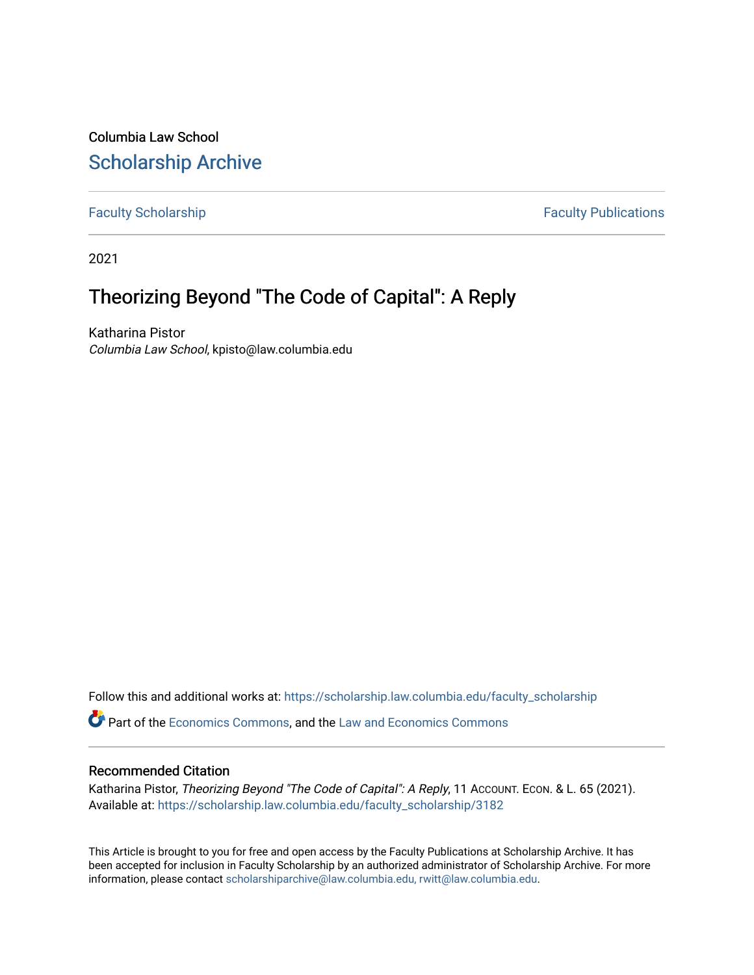Columbia Law School [Scholarship Archive](https://scholarship.law.columbia.edu/) 

[Faculty Scholarship](https://scholarship.law.columbia.edu/faculty_scholarship) **Faculty Scholarship Faculty Publications** 

2021

# Theorizing Beyond "The Code of Capital": A Reply

Katharina Pistor Columbia Law School, kpisto@law.columbia.edu

Follow this and additional works at: [https://scholarship.law.columbia.edu/faculty\\_scholarship](https://scholarship.law.columbia.edu/faculty_scholarship?utm_source=scholarship.law.columbia.edu%2Ffaculty_scholarship%2F3182&utm_medium=PDF&utm_campaign=PDFCoverPages)

Part of the [Economics Commons](http://network.bepress.com/hgg/discipline/340?utm_source=scholarship.law.columbia.edu%2Ffaculty_scholarship%2F3182&utm_medium=PDF&utm_campaign=PDFCoverPages), and the [Law and Economics Commons](http://network.bepress.com/hgg/discipline/612?utm_source=scholarship.law.columbia.edu%2Ffaculty_scholarship%2F3182&utm_medium=PDF&utm_campaign=PDFCoverPages) 

#### Recommended Citation

Katharina Pistor, Theorizing Beyond "The Code of Capital": A Reply, 11 Account. Econ. & L. 65 (2021). Available at: [https://scholarship.law.columbia.edu/faculty\\_scholarship/3182](https://scholarship.law.columbia.edu/faculty_scholarship/3182?utm_source=scholarship.law.columbia.edu%2Ffaculty_scholarship%2F3182&utm_medium=PDF&utm_campaign=PDFCoverPages)

This Article is brought to you for free and open access by the Faculty Publications at Scholarship Archive. It has been accepted for inclusion in Faculty Scholarship by an authorized administrator of Scholarship Archive. For more information, please contact [scholarshiparchive@law.columbia.edu, rwitt@law.columbia.edu](mailto:scholarshiparchive@law.columbia.edu,%20rwitt@law.columbia.edu).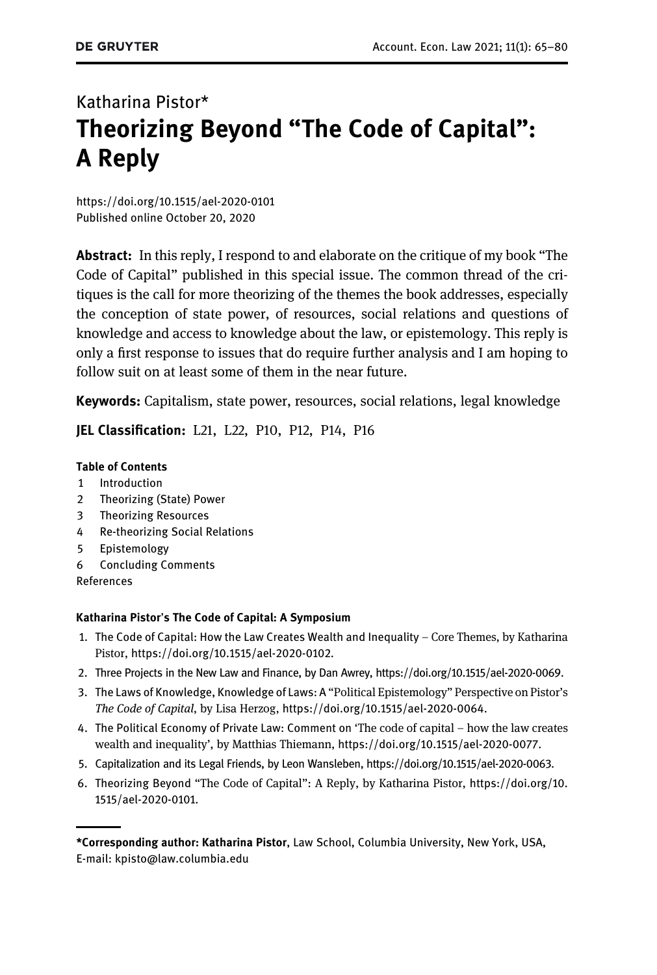# Katharina Pistor\* Theorizing Beyond "The Code of Capital": A Reply

<https://doi.org/10.1515/ael-2020-0101> [Published online October 20, 2020](https://doi.org/10.1515/ael-2020-0101)

Abstract: In this reply, I respond to and elaborate on the critique of my book "The Code of Capital" published in this special issue. The common thread of the critiques is the call for more theorizing of the themes the book addresses, especially the conception of state power, of resources, social relations and questions of knowledge and access to knowledge about the law, or epistemology. This reply is only a first response to issues that do require further analysis and I am hoping to follow suit on at least some of them in the near future.

Keywords: Capitalism, state power, resources, social relations, legal knowledge

JEL Classification: L21, L22, P10, P12, P14, P16

#### Table of Contents

- [1 Introduction](#page-2-0)
- [2 Theorizing \(State\) Power](#page-2-1)
- [3 Theorizing Resources](#page-6-0)
- [4 Re-theorizing Social Relations](#page-11-0)
- [5 Epistemology](#page-13-0)
- [6 Concluding Comments](#page-15-0)
- References

#### Katharina Pistor's The Code of Capital: A Symposium

- 1. The Code of Capital: How the Law Creates Wealth and Inequality Core Themes, by Katharina Pistor, <https://doi.org/10.1515/ael-2020-0102>.
- 2. Three Projects in the New Law and Finance, by Dan Awrey,<https://doi.org/10.1515/ael-2020-0069>.
- 3. The Laws of Knowledge, Knowledge of Laws: A "Political Epistemology" Perspective on Pistor's The Code of Capital, by Lisa Herzog, <https://doi.org/10.1515/ael-2020-0064>.
- 4. The Political Economy of Private Law: Comment on 'The code of capital how the law creates wealth and inequality', by Matthias Thiemann, <https://doi.org/10.1515/ael-2020-0077>.
- 5. Capitalization and its Legal Friends, by Leon Wansleben,<https://doi.org/10.1515/ael-2020-0063>.
- 6. Theorizing Beyond "The Code of Capital": A Reply, by Katharina Pistor, [https://doi.org/10.](https://doi.org/10.1515/ael-2020-0101) [1515/ael-2020-0101](https://doi.org/10.1515/ael-2020-0101).

<sup>\*</sup>Corresponding author: Katharina Pistor, Law School, Columbia University, New York, USA, E-mail: [kpisto@law.columbia.edu](mailto:kpisto@law.columbia.edu)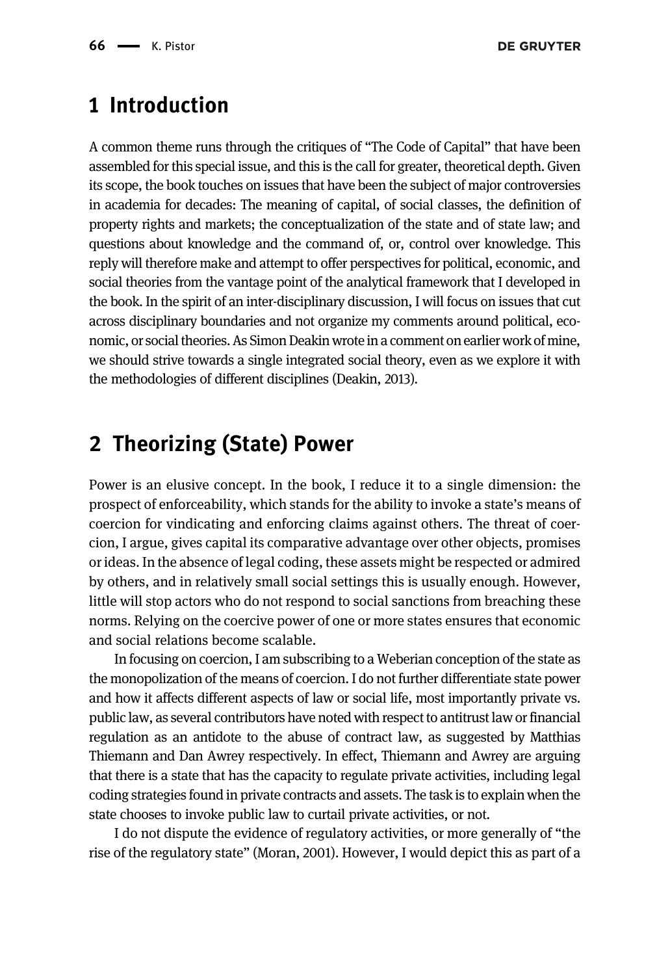### <span id="page-2-0"></span>1 Introduction

A common theme runs through the critiques of "The Code of Capital" that have been assembled for this special issue, and this is the call for greater, theoretical depth. Given its scope, the book touches on issues that have been the subject of major controversies in academia for decades: The meaning of capital, of social classes, the definition of property rights and markets; the conceptualization of the state and of state law; and questions about knowledge and the command of, or, control over knowledge. This reply will therefore make and attempt to offer perspectives for political, economic, and social theories from the vantage point of the analytical framework that I developed in the book. In the spirit of an inter-disciplinary discussion, I will focus on issues that cut across disciplinary boundaries and not organize my comments around political, economic, or social theories. As Simon Deakin wrote in a comment on earlier work of mine, we should strive towards a single integrated social theory, even as we explore it with the methodologies of different disciplines [\(Deakin, 2013](#page-15-1)).

# <span id="page-2-1"></span>2 Theorizing (State) Power

Power is an elusive concept. In the book, I reduce it to a single dimension: the prospect of enforceability, which stands for the ability to invoke a state's means of coercion for vindicating and enforcing claims against others. The threat of coercion, I argue, gives capital its comparative advantage over other objects, promises or ideas. In the absence of legal coding, these assets might be respected or admired by others, and in relatively small social settings this is usually enough. However, little will stop actors who do not respond to social sanctions from breaching these norms. Relying on the coercive power of one or more states ensures that economic and social relations become scalable.

In focusing on coercion, I am subscribing to a Weberian conception of the state as the monopolization of the means of coercion. I do not further differentiate state power and how it affects different aspects of law or social life, most importantly private vs. public law, as several contributors have noted with respect to antitrust law or financial regulation as an antidote to the abuse of contract law, as suggested by Matthias Thiemann and Dan Awrey respectively. In effect, Thiemann and Awrey are arguing that there is a state that has the capacity to regulate private activities, including legal coding strategies found in private contracts and assets. The task is to explain when the state chooses to invoke public law to curtail private activities, or not.

I do not dispute the evidence of regulatory activities, or more generally of "the rise of the regulatory state" [\(Moran, 2001](#page-16-0)). However, I would depict this as part of a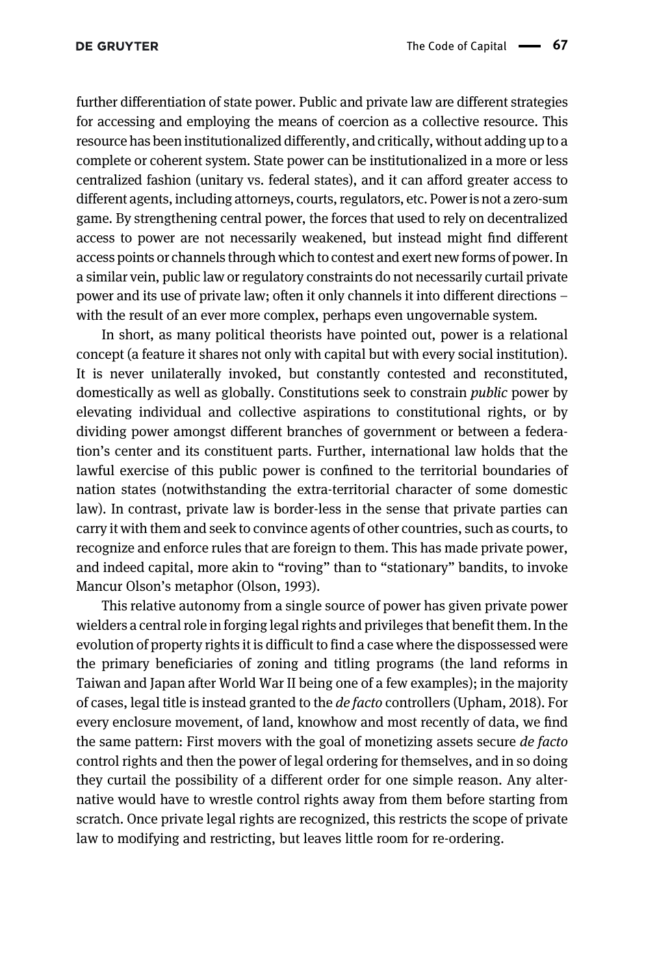further differentiation of state power. Public and private law are different strategies for accessing and employing the means of coercion as a collective resource. This resource has been institutionalized differently, and critically, without adding up to a complete or coherent system. State power can be institutionalized in a more or less centralized fashion (unitary vs. federal states), and it can afford greater access to different agents, including attorneys, courts, regulators, etc. Power is not a zero-sum game. By strengthening central power, the forces that used to rely on decentralized access to power are not necessarily weakened, but instead might find different access points or channels through which to contest and exert new forms of power. In a similar vein, public law or regulatory constraints do not necessarily curtail private power and its use of private law; often it only channels it into different directions – with the result of an ever more complex, perhaps even ungovernable system.

In short, as many political theorists have pointed out, power is a relational concept (a feature it shares not only with capital but with every social institution). It is never unilaterally invoked, but constantly contested and reconstituted, domestically as well as globally. Constitutions seek to constrain public power by elevating individual and collective aspirations to constitutional rights, or by dividing power amongst different branches of government or between a federation's center and its constituent parts. Further, international law holds that the lawful exercise of this public power is confined to the territorial boundaries of nation states (notwithstanding the extra-territorial character of some domestic law). In contrast, private law is border-less in the sense that private parties can carry it with them and seek to convince agents of other countries, such as courts, to recognize and enforce rules that are foreign to them. This has made private power, and indeed capital, more akin to "roving" than to "stationary" bandits, to invoke Mancur Olson's metaphor ([Olson, 1993\)](#page-16-1).

This relative autonomy from a single source of power has given private power wielders a central role in forging legal rights and privileges that benefit them. In the evolution of property rights it is difficult to find a case where the dispossessed were the primary beneficiaries of zoning and titling programs (the land reforms in Taiwan and Japan after World War II being one of a few examples); in the majority of cases, legal title is instead granted to the de facto controllers [\(Upham, 2018\)](#page-16-2). For every enclosure movement, of land, knowhow and most recently of data, we find the same pattern: First movers with the goal of monetizing assets secure *de facto* control rights and then the power of legal ordering for themselves, and in so doing they curtail the possibility of a different order for one simple reason. Any alternative would have to wrestle control rights away from them before starting from scratch. Once private legal rights are recognized, this restricts the scope of private law to modifying and restricting, but leaves little room for re-ordering.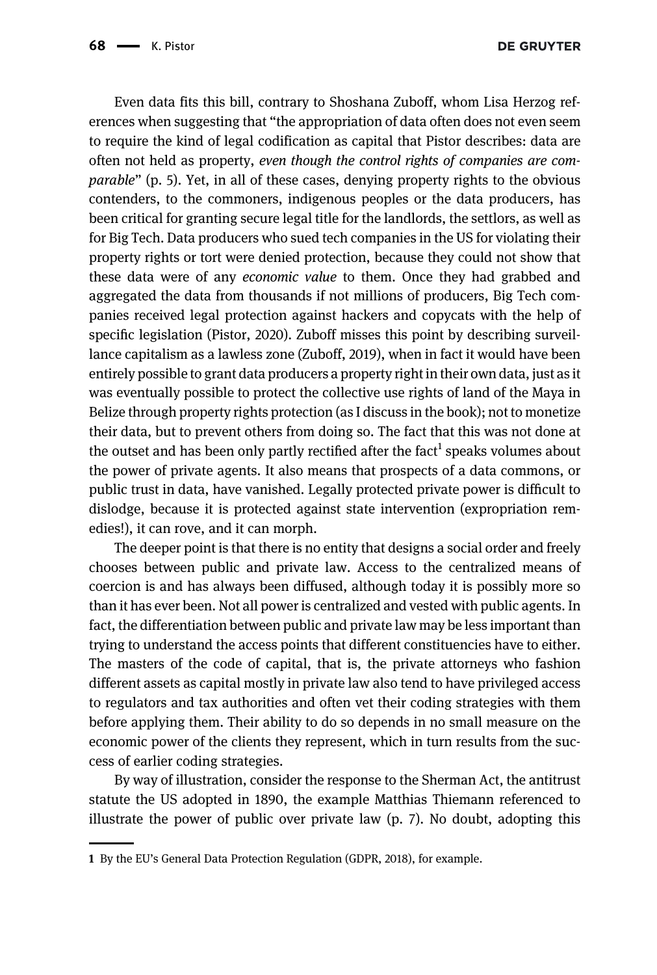Even data fits this bill, contrary to Shoshana Zuboff, whom Lisa Herzog references when suggesting that "the appropriation of data often does not even seem to require the kind of legal codification as capital that Pistor describes: data are often not held as property, even though the control rights of companies are comparable" (p. 5). Yet, in all of these cases, denying property rights to the obvious contenders, to the commoners, indigenous peoples or the data producers, has been critical for granting secure legal title for the landlords, the settlors, as well as for Big Tech. Data producers who sued tech companies in the US for violating their property rights or tort were denied protection, because they could not show that these data were of any economic value to them. Once they had grabbed and aggregated the data from thousands if not millions of producers, Big Tech companies received legal protection against hackers and copycats with the help of specific legislation [\(Pistor, 2020\)](#page-16-3). Zuboff misses this point by describing surveillance capitalism as a lawless zone [\(Zuboff, 2019\)](#page-16-4), when in fact it would have been entirely possible to grant data producers a property right in their own data, just as it was eventually possible to protect the collective use rights of land of the Maya in Belize through property rights protection (as I discuss in the book); not to monetize their data, but to prevent others from doing so. The fact that this was not done at the outset and has been only partly rectified after the fact<sup>1</sup> speaks volumes about the power of private agents. It also means that prospects of a data commons, or public trust in data, have vanished. Legally protected private power is difficult to dislodge, because it is protected against state intervention (expropriation remedies!), it can rove, and it can morph.

The deeper point is that there is no entity that designs a social order and freely chooses between public and private law. Access to the centralized means of coercion is and has always been diffused, although today it is possibly more so than it has ever been. Not all power is centralized and vested with public agents. In fact, the differentiation between public and private law may be less important than trying to understand the access points that different constituencies have to either. The masters of the code of capital, that is, the private attorneys who fashion different assets as capital mostly in private law also tend to have privileged access to regulators and tax authorities and often vet their coding strategies with them before applying them. Their ability to do so depends in no small measure on the economic power of the clients they represent, which in turn results from the success of earlier coding strategies.

By way of illustration, consider the response to the Sherman Act, the antitrust statute the US adopted in 1890, the example Matthias Thiemann referenced to illustrate the power of public over private law (p. 7). No doubt, adopting this

<sup>1</sup> By the EU's General Data Protection Regulation (GDPR, 2018), for example.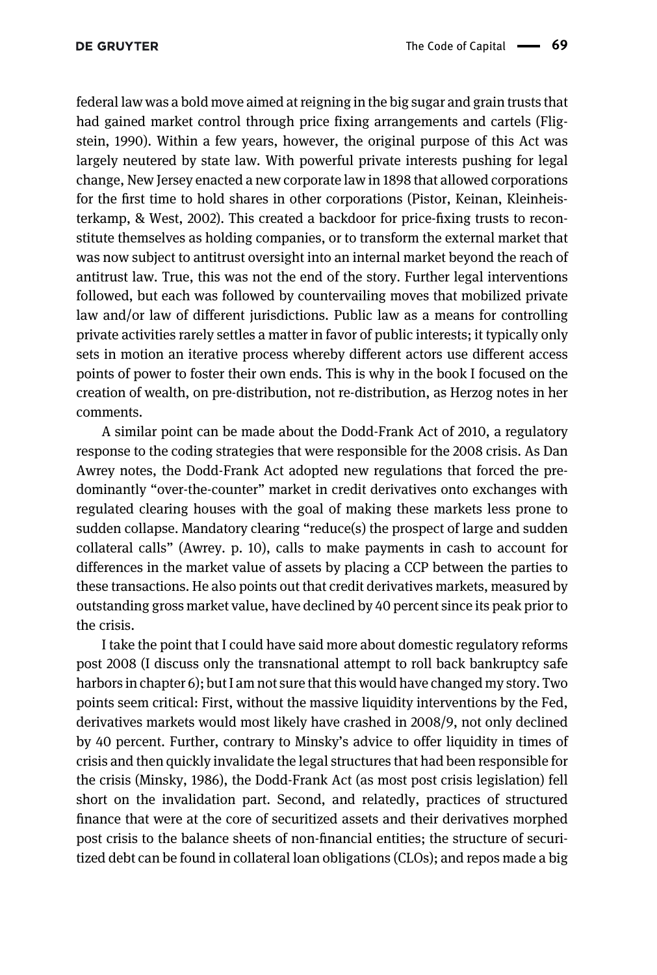federal law was a bold move aimed at reigning in the big sugar and grain trusts that had gained market control through price fixing arrangements and cartels [\(Flig](#page-15-2)[stein, 1990\)](#page-15-2). Within a few years, however, the original purpose of this Act was largely neutered by state law. With powerful private interests pushing for legal change, New Jersey enacted a new corporate law in 1898 that allowed corporations for the first time to hold shares in other corporations [\(Pistor, Keinan, Kleinheis](#page-16-5)[terkamp, & West, 2002](#page-16-5)). This created a backdoor for price-fixing trusts to reconstitute themselves as holding companies, or to transform the external market that was now subject to antitrust oversight into an internal market beyond the reach of antitrust law. True, this was not the end of the story. Further legal interventions followed, but each was followed by countervailing moves that mobilized private law and/or law of different jurisdictions. Public law as a means for controlling private activities rarely settles a matter in favor of public interests; it typically only sets in motion an iterative process whereby different actors use different access points of power to foster their own ends. This is why in the book I focused on the creation of wealth, on pre-distribution, not re-distribution, as Herzog notes in her comments.

A similar point can be made about the Dodd-Frank Act of 2010, a regulatory response to the coding strategies that were responsible for the 2008 crisis. As Dan Awrey notes, the Dodd-Frank Act adopted new regulations that forced the predominantly "over-the-counter" market in credit derivatives onto exchanges with regulated clearing houses with the goal of making these markets less prone to sudden collapse. Mandatory clearing "reduce(s) the prospect of large and sudden collateral calls" (Awrey. p. 10), calls to make payments in cash to account for differences in the market value of assets by placing a CCP between the parties to these transactions. He also points out that credit derivatives markets, measured by outstanding gross market value, have declined by 40 percent since its peak prior to the crisis.

I take the point that I could have said more about domestic regulatory reforms post 2008 (I discuss only the transnational attempt to roll back bankruptcy safe harbors in chapter 6); but I am not sure that this would have changed my story. Two points seem critical: First, without the massive liquidity interventions by the Fed, derivatives markets would most likely have crashed in 2008/9, not only declined by 40 percent. Further, contrary to Minsky's advice to offer liquidity in times of crisis and then quickly invalidate the legal structures that had been responsible for the crisis [\(Minsky, 1986\)](#page-16-6), the Dodd-Frank Act (as most post crisis legislation) fell short on the invalidation part. Second, and relatedly, practices of structured finance that were at the core of securitized assets and their derivatives morphed post crisis to the balance sheets of non-financial entities; the structure of securitized debt can be found in collateral loan obligations (CLOs); and repos made a big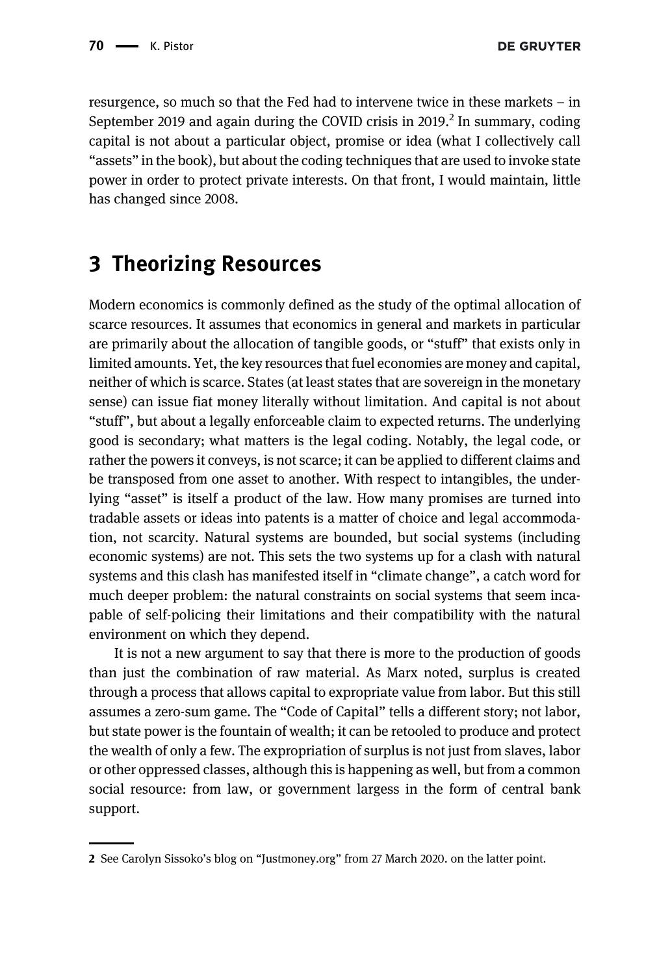**DE GRUYTER** 

resurgence, so much so that the Fed had to intervene twice in these markets – in September 2019 and again during the COVID crisis in 2019.<sup>2</sup> In summary, coding capital is not about a particular object, promise or idea (what I collectively call "assets" in the book), but about the coding techniques that are used to invoke state power in order to protect private interests. On that front, I would maintain, little has changed since 2008.

### <span id="page-6-0"></span>3 Theorizing Resources

Modern economics is commonly defined as the study of the optimal allocation of scarce resources. It assumes that economics in general and markets in particular are primarily about the allocation of tangible goods, or "stuff" that exists only in limited amounts. Yet, the key resources that fuel economies are money and capital, neither of which is scarce. States (at least states that are sovereign in the monetary sense) can issue fiat money literally without limitation. And capital is not about "stuff", but about a legally enforceable claim to expected returns. The underlying good is secondary; what matters is the legal coding. Notably, the legal code, or rather the powers it conveys, is not scarce; it can be applied to different claims and be transposed from one asset to another. With respect to intangibles, the underlying "asset" is itself a product of the law. How many promises are turned into tradable assets or ideas into patents is a matter of choice and legal accommodation, not scarcity. Natural systems are bounded, but social systems (including economic systems) are not. This sets the two systems up for a clash with natural systems and this clash has manifested itself in "climate change", a catch word for much deeper problem: the natural constraints on social systems that seem incapable of self-policing their limitations and their compatibility with the natural environment on which they depend.

It is not a new argument to say that there is more to the production of goods than just the combination of raw material. As Marx noted, surplus is created through a process that allows capital to expropriate value from labor. But this still assumes a zero-sum game. The "Code of Capital" tells a different story; not labor, but state power is the fountain of wealth; it can be retooled to produce and protect the wealth of only a few. The expropriation of surplus is not just from slaves, labor or other oppressed classes, although this is happening as well, but from a common social resource: from law, or government largess in the form of central bank support.

<sup>2</sup> See Carolyn Sissoko's blog on "Justmoney.org" from 27 March 2020. on the latter point.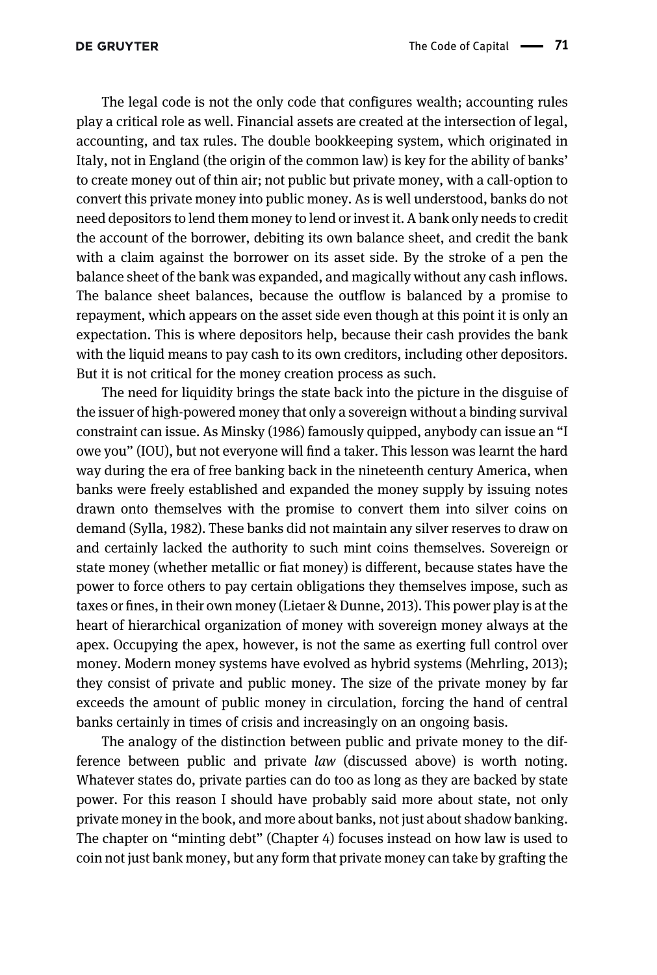The legal code is not the only code that configures wealth; accounting rules play a critical role as well. Financial assets are created at the intersection of legal, accounting, and tax rules. The double bookkeeping system, which originated in Italy, not in England (the origin of the common law) is key for the ability of banks' to create money out of thin air; not public but private money, with a call-option to convert this private money into public money. As is well understood, banks do not need depositors to lend them money to lend or invest it. A bank only needs to credit the account of the borrower, debiting its own balance sheet, and credit the bank with a claim against the borrower on its asset side. By the stroke of a pen the balance sheet of the bank was expanded, and magically without any cash inflows. The balance sheet balances, because the outflow is balanced by a promise to repayment, which appears on the asset side even though at this point it is only an expectation. This is where depositors help, because their cash provides the bank with the liquid means to pay cash to its own creditors, including other depositors. But it is not critical for the money creation process as such.

The need for liquidity brings the state back into the picture in the disguise of the issuer of high-powered money that only a sovereign without a binding survival constraint can issue. As [Minsky \(1986\)](#page-16-6) famously quipped, anybody can issue an "I owe you" (IOU), but not everyone will find a taker. This lesson was learnt the hard way during the era of free banking back in the nineteenth century America, when banks were freely established and expanded the money supply by issuing notes drawn onto themselves with the promise to convert them into silver coins on demand [\(Sylla, 1982](#page-16-7)). These banks did not maintain any silver reserves to draw on and certainly lacked the authority to such mint coins themselves. Sovereign or state money (whether metallic or fiat money) is different, because states have the power to force others to pay certain obligations they themselves impose, such as taxes or fines, in their own money [\(Lietaer & Dunne, 2013\)](#page-16-8). This power play is at the heart of hierarchical organization of money with sovereign money always at the apex. Occupying the apex, however, is not the same as exerting full control over money. Modern money systems have evolved as hybrid systems [\(Mehrling, 2013\)](#page-16-9); they consist of private and public money. The size of the private money by far exceeds the amount of public money in circulation, forcing the hand of central banks certainly in times of crisis and increasingly on an ongoing basis.

The analogy of the distinction between public and private money to the difference between public and private law (discussed above) is worth noting. Whatever states do, private parties can do too as long as they are backed by state power. For this reason I should have probably said more about state, not only private money in the book, and more about banks, not just about shadow banking. The chapter on "minting debt" (Chapter 4) focuses instead on how law is used to coin not just bank money, but any form that private money can take by grafting the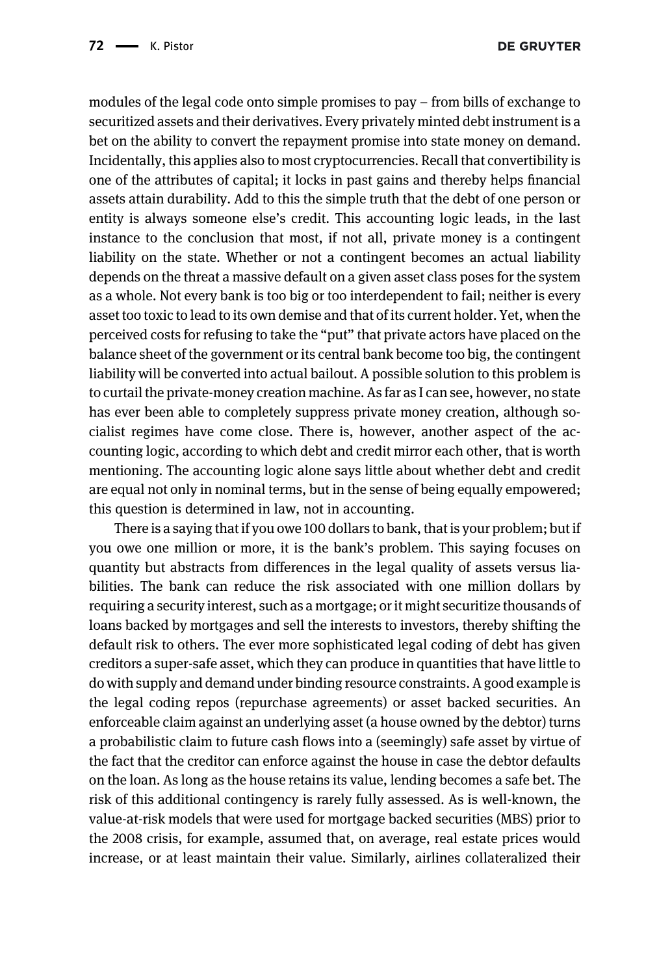modules of the legal code onto simple promises to pay – from bills of exchange to securitized assets and their derivatives. Every privately minted debt instrument is a bet on the ability to convert the repayment promise into state money on demand. Incidentally, this applies also to most cryptocurrencies. Recall that convertibility is one of the attributes of capital; it locks in past gains and thereby helps financial assets attain durability. Add to this the simple truth that the debt of one person or entity is always someone else's credit. This accounting logic leads, in the last instance to the conclusion that most, if not all, private money is a contingent liability on the state. Whether or not a contingent becomes an actual liability depends on the threat a massive default on a given asset class poses for the system as a whole. Not every bank is too big or too interdependent to fail; neither is every asset too toxic to lead to its own demise and that of its current holder. Yet, when the perceived costs for refusing to take the "put" that private actors have placed on the balance sheet of the government or its central bank become too big, the contingent liability will be converted into actual bailout. A possible solution to this problem is to curtail the private-money creation machine. As far as I can see, however, no state has ever been able to completely suppress private money creation, although socialist regimes have come close. There is, however, another aspect of the accounting logic, according to which debt and credit mirror each other, that is worth mentioning. The accounting logic alone says little about whether debt and credit are equal not only in nominal terms, but in the sense of being equally empowered; this question is determined in law, not in accounting.

There is a saying that if you owe 100 dollars to bank, that is your problem; but if you owe one million or more, it is the bank's problem. This saying focuses on quantity but abstracts from differences in the legal quality of assets versus liabilities. The bank can reduce the risk associated with one million dollars by requiring a security interest, such as a mortgage; or it might securitize thousands of loans backed by mortgages and sell the interests to investors, thereby shifting the default risk to others. The ever more sophisticated legal coding of debt has given creditors a super-safe asset, which they can produce in quantities that have little to do with supply and demand under binding resource constraints. A good example is the legal coding repos (repurchase agreements) or asset backed securities. An enforceable claim against an underlying asset (a house owned by the debtor) turns a probabilistic claim to future cash flows into a (seemingly) safe asset by virtue of the fact that the creditor can enforce against the house in case the debtor defaults on the loan. As long as the house retains its value, lending becomes a safe bet. The risk of this additional contingency is rarely fully assessed. As is well-known, the value-at-risk models that were used for mortgage backed securities (MBS) prior to the 2008 crisis, for example, assumed that, on average, real estate prices would increase, or at least maintain their value. Similarly, airlines collateralized their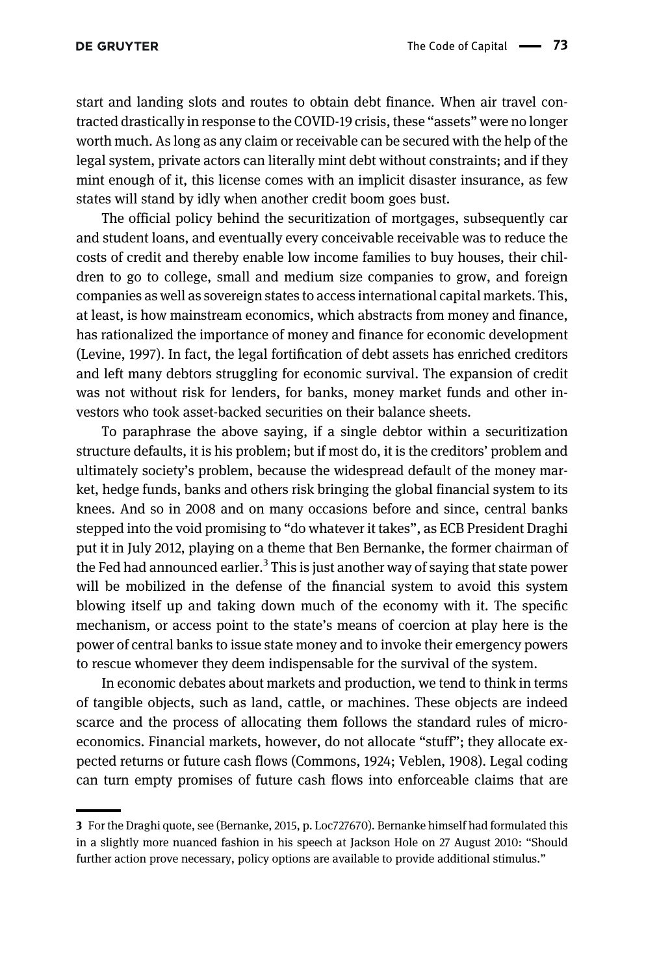start and landing slots and routes to obtain debt finance. When air travel contracted drastically in response to the COVID-19 crisis, these "assets" were no longer worth much. As long as any claim or receivable can be secured with the help of the legal system, private actors can literally mint debt without constraints; and if they mint enough of it, this license comes with an implicit disaster insurance, as few states will stand by idly when another credit boom goes bust.

The official policy behind the securitization of mortgages, subsequently car and student loans, and eventually every conceivable receivable was to reduce the costs of credit and thereby enable low income families to buy houses, their children to go to college, small and medium size companies to grow, and foreign companies as well as sovereign states to access international capital markets. This, at least, is how mainstream economics, which abstracts from money and finance, has rationalized the importance of money and finance for economic development [\(Levine, 1997](#page-16-10)). In fact, the legal fortification of debt assets has enriched creditors and left many debtors struggling for economic survival. The expansion of credit was not without risk for lenders, for banks, money market funds and other investors who took asset-backed securities on their balance sheets.

To paraphrase the above saying, if a single debtor within a securitization structure defaults, it is his problem; but if most do, it is the creditors' problem and ultimately society's problem, because the widespread default of the money market, hedge funds, banks and others risk bringing the global financial system to its knees. And so in 2008 and on many occasions before and since, central banks stepped into the void promising to "do whatever it takes", as ECB President Draghi put it in July 2012, playing on a theme that Ben Bernanke, the former chairman of the Fed had announced earlier.<sup>3</sup> This is just another way of saying that state power will be mobilized in the defense of the financial system to avoid this system blowing itself up and taking down much of the economy with it. The specific mechanism, or access point to the state's means of coercion at play here is the power of central banks to issue state money and to invoke their emergency powers to rescue whomever they deem indispensable for the survival of the system.

In economic debates about markets and production, we tend to think in terms of tangible objects, such as land, cattle, or machines. These objects are indeed scarce and the process of allocating them follows the standard rules of microeconomics. Financial markets, however, do not allocate "stuff"; they allocate expected returns or future cash flows ([Commons, 1924; Veblen, 1908\)](#page-15-3). Legal coding can turn empty promises of future cash flows into enforceable claims that are

<sup>3</sup> For the Draghi quote, see [\(Bernanke, 2015,](#page-15-4) p. Loc727670). Bernanke himself had formulated this in a slightly more nuanced fashion in his speech at Jackson Hole on 27 August 2010: "Should further action prove necessary, policy options are available to provide additional stimulus."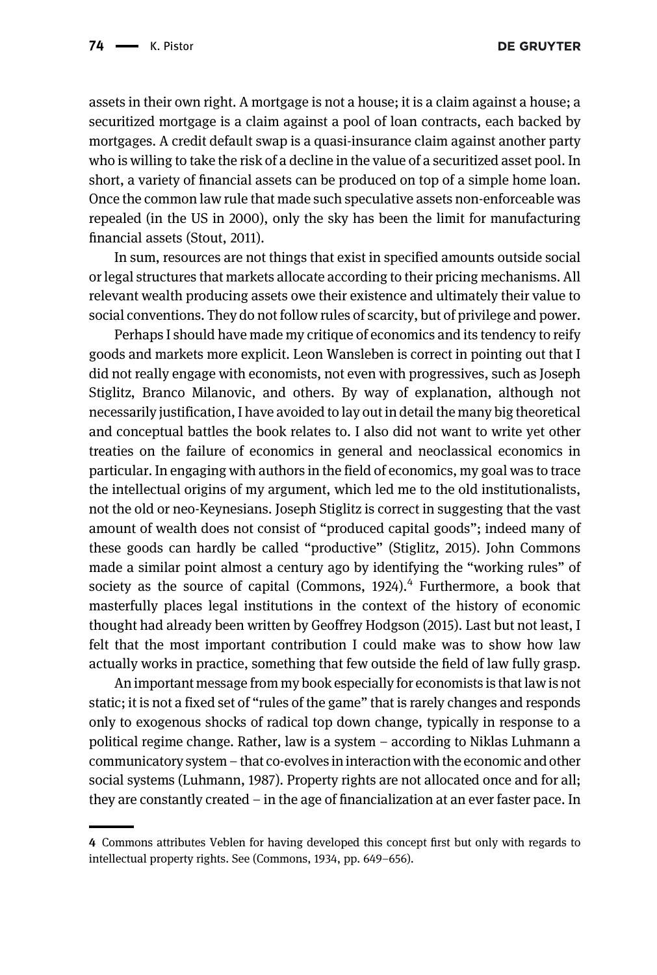assets in their own right. A mortgage is not a house; it is a claim against a house; a securitized mortgage is a claim against a pool of loan contracts, each backed by mortgages. A credit default swap is a quasi-insurance claim against another party who is willing to take the risk of a decline in the value of a securitized asset pool. In short, a variety of financial assets can be produced on top of a simple home loan. Once the common law rule that made such speculative assets non-enforceable was repealed (in the US in 2000), only the sky has been the limit for manufacturing financial assets ([Stout, 2011](#page-16-11)).

In sum, resources are not things that exist in specified amounts outside social or legal structures that markets allocate according to their pricing mechanisms. All relevant wealth producing assets owe their existence and ultimately their value to social conventions. They do not follow rules of scarcity, but of privilege and power.

Perhaps I should have made my critique of economics and its tendency to reify goods and markets more explicit. Leon Wansleben is correct in pointing out that I did not really engage with economists, not even with progressives, such as Joseph Stiglitz, Branco Milanovic, and others. By way of explanation, although not necessarily justification, I have avoided to lay out in detail the many big theoretical and conceptual battles the book relates to. I also did not want to write yet other treaties on the failure of economics in general and neoclassical economics in particular. In engaging with authors in the field of economics, my goal was to trace the intellectual origins of my argument, which led me to the old institutionalists, not the old or neo-Keynesians. Joseph Stiglitz is correct in suggesting that the vast amount of wealth does not consist of "produced capital goods"; indeed many of these goods can hardly be called "productive" ([Stiglitz, 2015\)](#page-16-12). John Commons made a similar point almost a century ago by identifying the "working rules" of society as the source of capital (Commons,  $1924$ ).<sup>4</sup> Furthermore, a book that masterfully places legal institutions in the context of the history of economic thought had already been written by Geoffrey [Hodgson \(2015\).](#page-16-13) Last but not least, I felt that the most important contribution I could make was to show how law actually works in practice, something that few outside the field of law fully grasp.

An important message from my book especially for economists is that law is not static; it is not a fixed set of "rules of the game" that is rarely changes and responds only to exogenous shocks of radical top down change, typically in response to a political regime change. Rather, law is a system – according to Niklas Luhmann a communicatory system – that co-evolves in interaction with the economic and other social systems [\(Luhmann, 1987](#page-16-14)). Property rights are not allocated once and for all; they are constantly created – in the age of financialization at an ever faster pace. In

<sup>4</sup> Commons attributes Veblen for having developed this concept first but only with regards to intellectual property rights. See ([Commons, 1934](#page-15-5), pp. 649–656).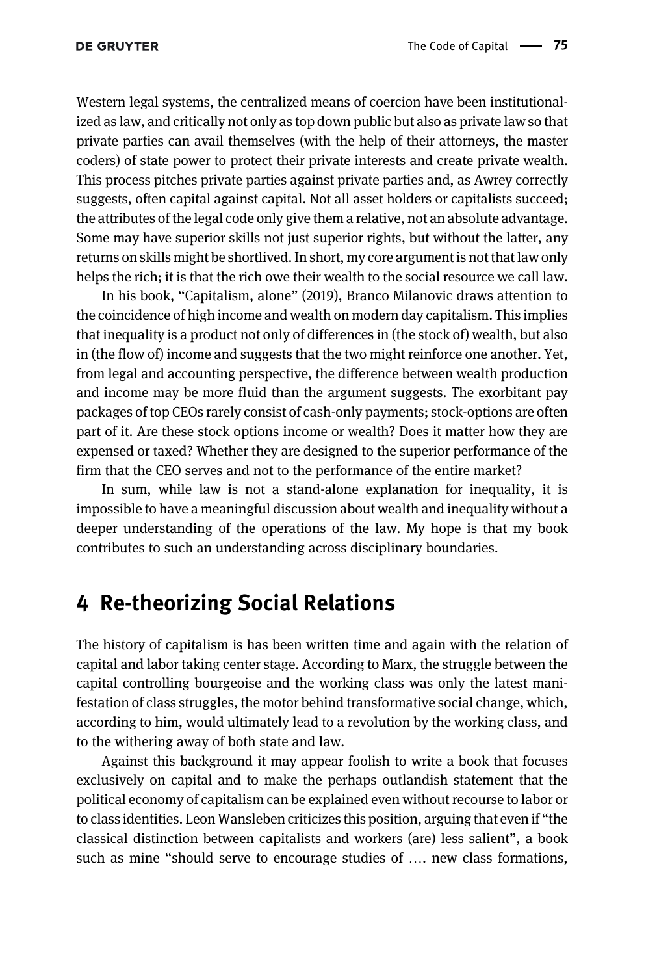Western legal systems, the centralized means of coercion have been institutionalized as law, and critically not only as top down public but also as private law so that private parties can avail themselves (with the help of their attorneys, the master coders) of state power to protect their private interests and create private wealth. This process pitches private parties against private parties and, as Awrey correctly suggests, often capital against capital. Not all asset holders or capitalists succeed; the attributes of the legal code only give them a relative, not an absolute advantage. Some may have superior skills not just superior rights, but without the latter, any returns on skills might be shortlived. In short, my core argument is not that law only helps the rich; it is that the rich owe their wealth to the social resource we call law.

In his book, "Capitalism, alone" (2019), Branco Milanovic draws attention to the coincidence of high income and wealth on modern day capitalism. This implies that inequality is a product not only of differences in (the stock of) wealth, but also in (the flow of) income and suggests that the two might reinforce one another. Yet, from legal and accounting perspective, the difference between wealth production and income may be more fluid than the argument suggests. The exorbitant pay packages of top CEOs rarely consist of cash-only payments; stock-options are often part of it. Are these stock options income or wealth? Does it matter how they are expensed or taxed? Whether they are designed to the superior performance of the firm that the CEO serves and not to the performance of the entire market?

In sum, while law is not a stand-alone explanation for inequality, it is impossible to have a meaningful discussion about wealth and inequality without a deeper understanding of the operations of the law. My hope is that my book contributes to such an understanding across disciplinary boundaries.

### <span id="page-11-0"></span>4 Re-theorizing Social Relations

The history of capitalism is has been written time and again with the relation of capital and labor taking center stage. According to Marx, the struggle between the capital controlling bourgeoise and the working class was only the latest manifestation of class struggles, the motor behind transformative social change, which, according to him, would ultimately lead to a revolution by the working class, and to the withering away of both state and law.

Against this background it may appear foolish to write a book that focuses exclusively on capital and to make the perhaps outlandish statement that the political economy of capitalism can be explained even without recourse to labor or to class identities. Leon Wansleben criticizes this position, arguing that even if "the classical distinction between capitalists and workers (are) less salient", a book such as mine "should serve to encourage studies of …. new class formations,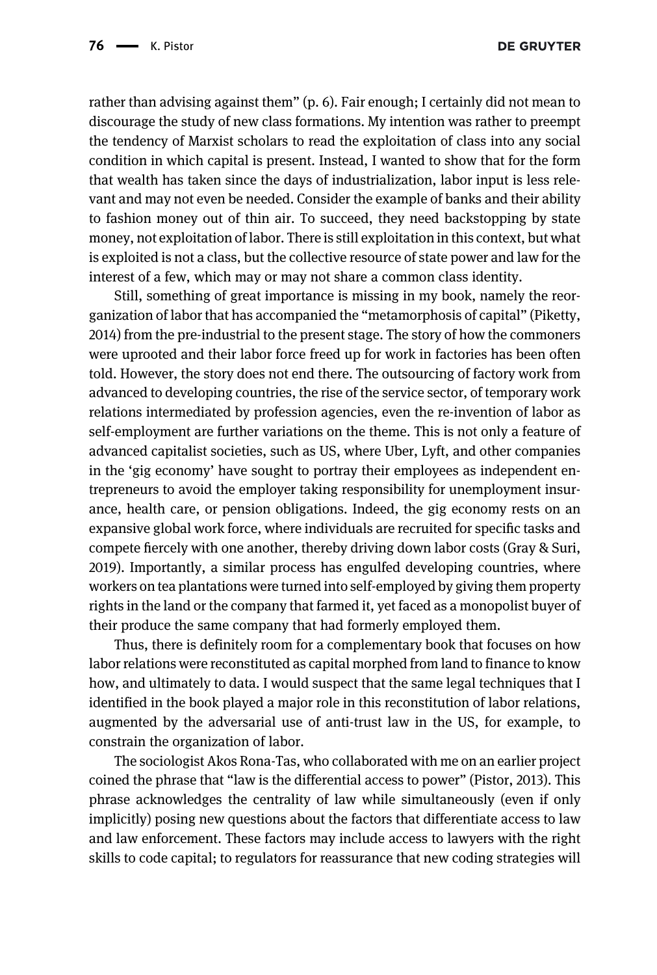rather than advising against them" (p. 6). Fair enough; I certainly did not mean to discourage the study of new class formations. My intention was rather to preempt the tendency of Marxist scholars to read the exploitation of class into any social condition in which capital is present. Instead, I wanted to show that for the form that wealth has taken since the days of industrialization, labor input is less relevant and may not even be needed. Consider the example of banks and their ability to fashion money out of thin air. To succeed, they need backstopping by state money, not exploitation of labor. There is still exploitation in this context, but what is exploited is not a class, but the collective resource of state power and law for the interest of a few, which may or may not share a common class identity.

Still, something of great importance is missing in my book, namely the reorganization of labor that has accompanied the "metamorphosis of capital" [\(Piketty,](#page-16-15) [2014\)](#page-16-15) from the pre-industrial to the present stage. The story of how the commoners were uprooted and their labor force freed up for work in factories has been often told. However, the story does not end there. The outsourcing of factory work from advanced to developing countries, the rise of the service sector, of temporary work relations intermediated by profession agencies, even the re-invention of labor as self-employment are further variations on the theme. This is not only a feature of advanced capitalist societies, such as US, where Uber, Lyft, and other companies in the 'gig economy' have sought to portray their employees as independent entrepreneurs to avoid the employer taking responsibility for unemployment insurance, health care, or pension obligations. Indeed, the gig economy rests on an expansive global work force, where individuals are recruited for specific tasks and compete fiercely with one another, thereby driving down labor costs [\(Gray & Suri,](#page-15-6) [2019\)](#page-15-6). Importantly, a similar process has engulfed developing countries, where workers on tea plantations were turned into self-employed by giving them property rights in the land or the company that farmed it, yet faced as a monopolist buyer of their produce the same company that had formerly employed them.

Thus, there is definitely room for a complementary book that focuses on how labor relations were reconstituted as capital morphed from land to finance to know how, and ultimately to data. I would suspect that the same legal techniques that I identified in the book played a major role in this reconstitution of labor relations, augmented by the adversarial use of anti-trust law in the US, for example, to constrain the organization of labor.

The sociologist Akos Rona-Tas, who collaborated with me on an earlier project coined the phrase that "law is the differential access to power" [\(Pistor, 2013](#page-16-16)). This phrase acknowledges the centrality of law while simultaneously (even if only implicitly) posing new questions about the factors that differentiate access to law and law enforcement. These factors may include access to lawyers with the right skills to code capital; to regulators for reassurance that new coding strategies will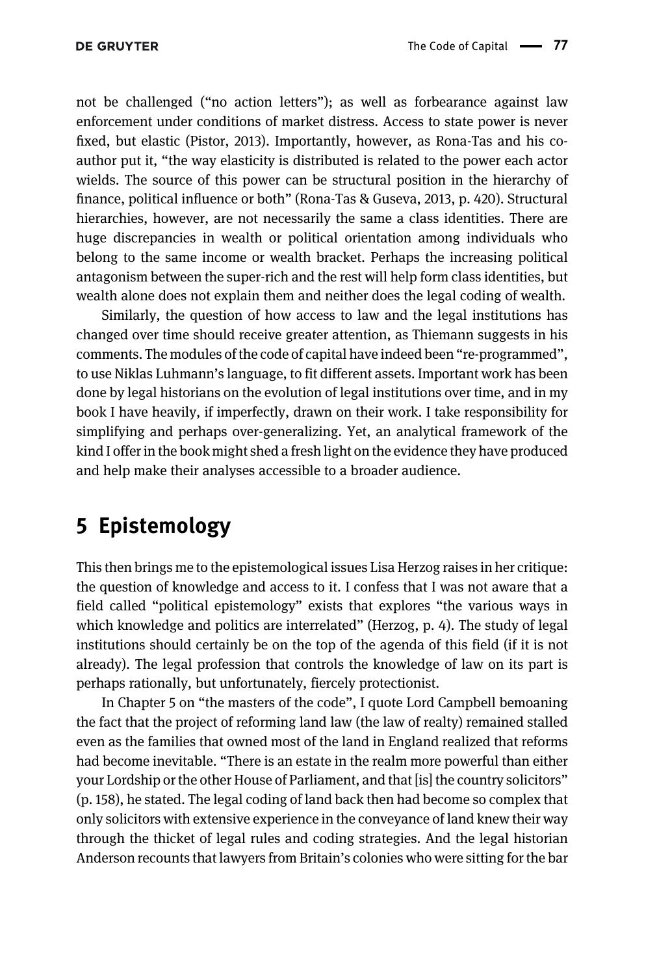not be challenged ("no action letters"); as well as forbearance against law enforcement under conditions of market distress. Access to state power is never fixed, but elastic [\(Pistor, 2013\)](#page-16-16). Importantly, however, as Rona-Tas and his coauthor put it, "the way elasticity is distributed is related to the power each actor wields. The source of this power can be structural position in the hierarchy of finance, political influence or both" [\(Rona-Tas & Guseva, 2013,](#page-16-17) p. 420). Structural hierarchies, however, are not necessarily the same a class identities. There are huge discrepancies in wealth or political orientation among individuals who belong to the same income or wealth bracket. Perhaps the increasing political antagonism between the super-rich and the rest will help form class identities, but wealth alone does not explain them and neither does the legal coding of wealth.

Similarly, the question of how access to law and the legal institutions has changed over time should receive greater attention, as Thiemann suggests in his comments. The modules of the code of capital have indeed been "re-programmed", to use Niklas Luhmann's language, to fit different assets. Important work has been done by legal historians on the evolution of legal institutions over time, and in my book I have heavily, if imperfectly, drawn on their work. I take responsibility for simplifying and perhaps over-generalizing. Yet, an analytical framework of the kind I offer in the book might shed a fresh light on the evidence they have produced and help make their analyses accessible to a broader audience.

### <span id="page-13-0"></span>5 Epistemology

This then brings me to the epistemological issues Lisa Herzog raises in her critique: the question of knowledge and access to it. I confess that I was not aware that a field called "political epistemology" exists that explores "the various ways in which knowledge and politics are interrelated" (Herzog, p. 4). The study of legal institutions should certainly be on the top of the agenda of this field (if it is not already). The legal profession that controls the knowledge of law on its part is perhaps rationally, but unfortunately, fiercely protectionist.

In Chapter 5 on "the masters of the code", I quote Lord Campbell bemoaning the fact that the project of reforming land law (the law of realty) remained stalled even as the families that owned most of the land in England realized that reforms had become inevitable. "There is an estate in the realm more powerful than either your Lordship or the other House of Parliament, and that [is] the country solicitors" (p. 158), he stated. The legal coding of land back then had become so complex that only solicitors with extensive experience in the conveyance of land knew their way through the thicket of legal rules and coding strategies. And the legal historian Anderson recounts that lawyers from Britain's colonies who were sitting for the bar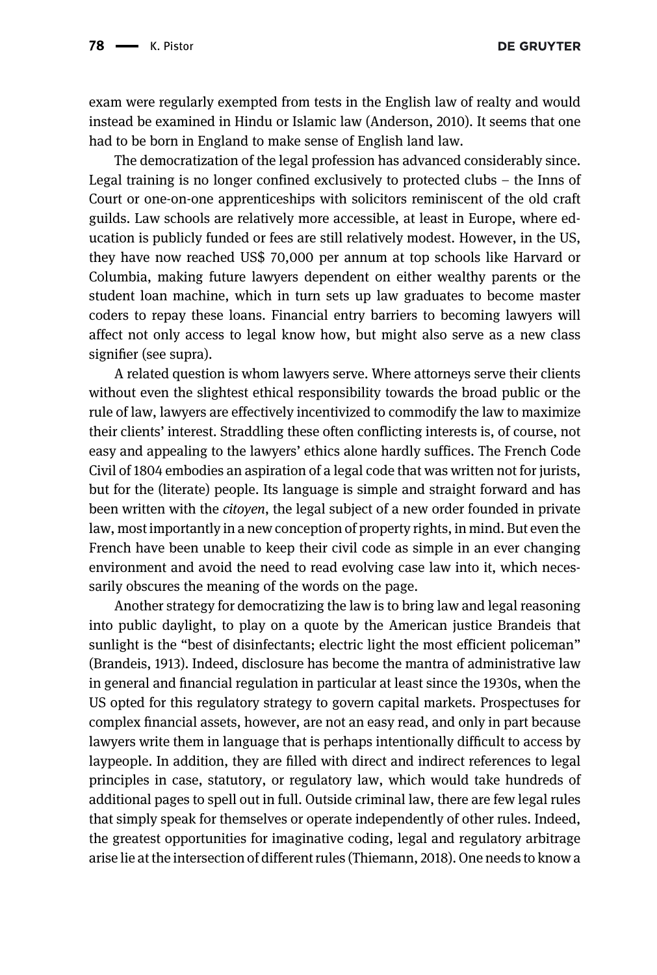**DE GRUYTER** 

exam were regularly exempted from tests in the English law of realty and would instead be examined in Hindu or Islamic law ([Anderson, 2010\)](#page-15-7). It seems that one had to be born in England to make sense of English land law.

The democratization of the legal profession has advanced considerably since. Legal training is no longer confined exclusively to protected clubs – the Inns of Court or one-on-one apprenticeships with solicitors reminiscent of the old craft guilds. Law schools are relatively more accessible, at least in Europe, where education is publicly funded or fees are still relatively modest. However, in the US, they have now reached US\$ 70,000 per annum at top schools like Harvard or Columbia, making future lawyers dependent on either wealthy parents or the student loan machine, which in turn sets up law graduates to become master coders to repay these loans. Financial entry barriers to becoming lawyers will affect not only access to legal know how, but might also serve as a new class signifier (see supra).

A related question is whom lawyers serve. Where attorneys serve their clients without even the slightest ethical responsibility towards the broad public or the rule of law, lawyers are effectively incentivized to commodify the law to maximize their clients' interest. Straddling these often conflicting interests is, of course, not easy and appealing to the lawyers' ethics alone hardly suffices. The French Code Civil of 1804 embodies an aspiration of a legal code that was written not for jurists, but for the (literate) people. Its language is simple and straight forward and has been written with the *citoyen*, the legal subject of a new order founded in private law, most importantly in a new conception of property rights, in mind. But even the French have been unable to keep their civil code as simple in an ever changing environment and avoid the need to read evolving case law into it, which necessarily obscures the meaning of the words on the page.

Another strategy for democratizing the law is to bring law and legal reasoning into public daylight, to play on a quote by the American justice Brandeis that sunlight is the "best of disinfectants; electric light the most efficient policeman" ([Brandeis, 1913\)](#page-15-8). Indeed, disclosure has become the mantra of administrative law in general and financial regulation in particular at least since the 1930s, when the US opted for this regulatory strategy to govern capital markets. Prospectuses for complex financial assets, however, are not an easy read, and only in part because lawyers write them in language that is perhaps intentionally difficult to access by laypeople. In addition, they are filled with direct and indirect references to legal principles in case, statutory, or regulatory law, which would take hundreds of additional pages to spell out in full. Outside criminal law, there are few legal rules that simply speak for themselves or operate independently of other rules. Indeed, the greatest opportunities for imaginative coding, legal and regulatory arbitrage arise lie at the intersection of different rules ([Thiemann, 2018\)](#page-16-18). One needs to know a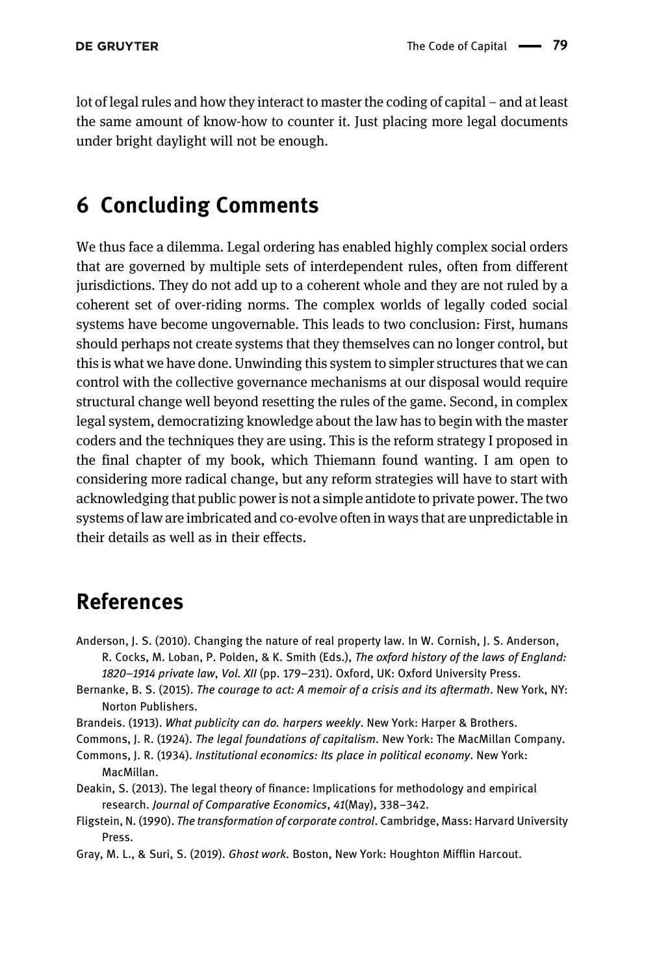lot of legal rules and how they interact to master the coding of capital – and at least the same amount of know-how to counter it. Just placing more legal documents under bright daylight will not be enough.

# <span id="page-15-0"></span>6 Concluding Comments

We thus face a dilemma. Legal ordering has enabled highly complex social orders that are governed by multiple sets of interdependent rules, often from different jurisdictions. They do not add up to a coherent whole and they are not ruled by a coherent set of over-riding norms. The complex worlds of legally coded social systems have become ungovernable. This leads to two conclusion: First, humans should perhaps not create systems that they themselves can no longer control, but this is what we have done. Unwinding this system to simpler structures that we can control with the collective governance mechanisms at our disposal would require structural change well beyond resetting the rules of the game. Second, in complex legal system, democratizing knowledge about the law has to begin with the master coders and the techniques they are using. This is the reform strategy I proposed in the final chapter of my book, which Thiemann found wanting. I am open to considering more radical change, but any reform strategies will have to start with acknowledging that public power is not a simple antidote to private power. The two systems of law are imbricated and co-evolve often in ways that are unpredictable in their details as well as in their effects.

# <span id="page-15-7"></span>References

- Anderson, J. S. (2010). Changing the nature of real property law. In W. Cornish, J. S. Anderson, R. Cocks, M. Loban, P. Polden, & K. Smith (Eds.), The oxford history of the laws of England: 1820–1914 private law, Vol. XII (pp. 179–231). Oxford, UK: Oxford University Press.
- <span id="page-15-8"></span><span id="page-15-4"></span>Bernanke, B. S. (2015). The courage to act: A memoir of a crisis and its aftermath. New York, NY: Norton Publishers.
- <span id="page-15-3"></span>Brandeis. (1913). What publicity can do. harpers weekly. New York: Harper & Brothers.
- <span id="page-15-5"></span>Commons, J. R. (1924). The legal foundations of capitalism. New York: The MacMillan Company.
- <span id="page-15-1"></span>Commons, J. R. (1934). Institutional economics: Its place in political economy. New York: MacMillan.
- <span id="page-15-2"></span>Deakin, S. (2013). The legal theory of finance: Implications for methodology and empirical research. Journal of Comparative Economics, 41(May), 338–342.
- <span id="page-15-6"></span>Fligstein, N. (1990). The transformation of corporate control. Cambridge, Mass: Harvard University Press.
- Gray, M. L., & Suri, S. (2019). Ghost work. Boston, New York: Houghton Mifflin Harcout.